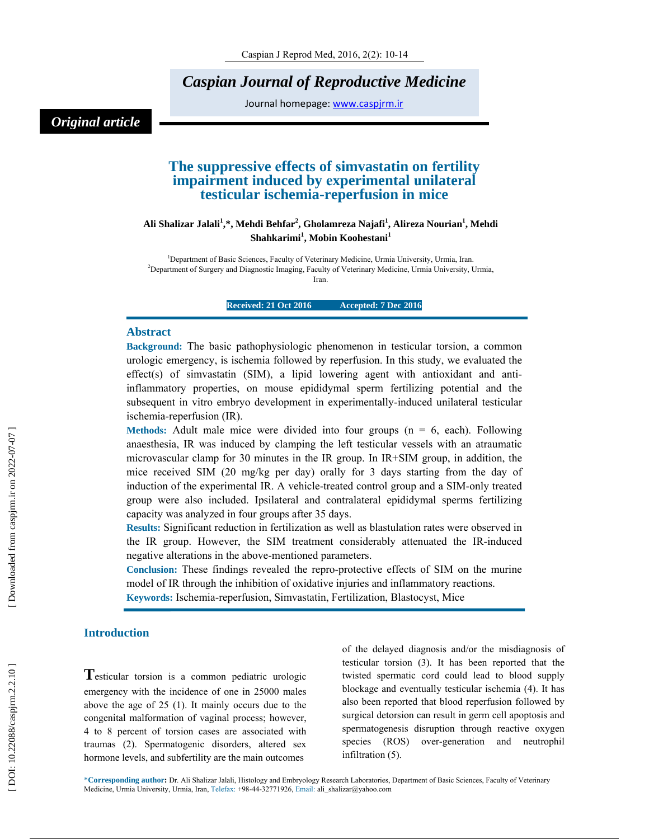*Caspian Journal of Reproductive Medicine* 

Journal homepage: www.caspjrm.ir

# *Original article*

# **The suppressive effects of simvastatin on fertility impairment induced by experimental unilateral testicular ischemia-reperfusion in mice**

**Ali Shalizar Jalali 1 ,\*, Mehdi Behfar 2 , Gholamreza Najafi 1 , Alireza Nourian 1 , Mehdi Shahkarimi 1 , Mobin Koohestani 1**

<sup>1</sup>Department of Basic Sciences, Faculty of Veterinary Medicine, Urmia University, Urmia, Iran. 2 Department of Surgery and Diagnostic Imaging, Faculty of Veterinary Medicine, Urmia University, Urmia, Iran.

**Received: 21 Oct 2016 Accepted: 7 Dec 2016** 

### **Abstract**

**Background:** The basic pathophysiologic phenomenon in testicular torsion, a common urologic emergency, is ischemia followed by reperfusion. In this study, we evaluated the effect(s) of simvastatin (SIM), a lipid lowering agent with antioxidant and antiinflammatory properties, on mouse epididymal sperm fertilizing potential and the subsequent in vitro embryo development in experimentally-induced unilateral testicular ischemia-reperfusion (IR).

**Methods:** Adult male mice were divided into four groups  $(n = 6$ , each). Following anaesthesia, IR was induced by clamping the left testicular vessels with an atraumatic microvascular clamp for 30 minutes in the IR group. In IR+SIM group, in addition, the mice received SIM (20 mg/kg per day) orally for 3 days starting from the day of induction of the experimental IR. A vehicle-treated control group and a SIM-only treated group were also included. Ipsilateral and contralateral epididymal sperms fertilizing capacity was analyzed in four groups after 35 days.

**Results:** Significant reduction in fertilization as well as blastulation rates were observed in the IR group. However, the SIM treatment considerably attenuated the IR-induced negative alterations in the above-mentioned parameters.

**Conclusion:** These findings revealed the repro-protective effects of SIM on the murine model of IR through the inhibition of oxidative injuries and inflammatory reactions.

**Keywords:** Ischemia-reperfusion, Simvastatin, Fertilization, Blastocyst, Mice

**Introduction**<br>**T**esticular torsion is a common pediatric urologic emergency with the incidence of one in 25000 males above the age of 25 (1). It mainly occurs due to the congenital malformation of vaginal process; however, 4 to 8 percent of torsion cases are associated with traumas (2). Spermatogenic disorders, altered sex hormone levels, and subfertility are the main outcomes

of the delayed diagnosis and/or the misdiagnosis of testicular torsion (3). It has been reported that the twisted spermatic cord could lead to blood supply blockage and eventually testicular ischemia (4). It has also been reported that blood reperfusion followed by surgical detorsion can result in germ cell apoptosis and spermatogenesis disruption through reactive oxygen species (ROS) over-generation and neutrophil infiltration (5).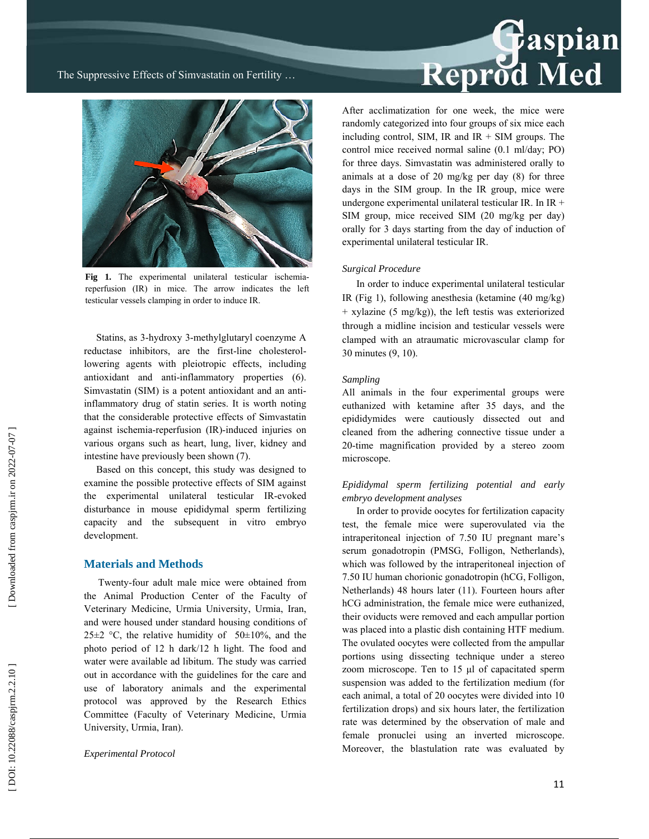Reprod Med

The Suppressive Effects of Simvastatin on Fertility …



Fig 1. The experimental unilateral testicular ischemiareperfusion (IR) in mice. The arrow indicates the left testicular vessels clamping in order to induce IR.

 Statins, as 3-hydroxy 3-methylglutaryl coenzyme A reductase inhibitors, are the first-line cholesterollowering agents with pleiotropic effects, including antioxidant and anti-inflammatory properties (6). Simvastatin (SIM) is a potent antioxidant and an antiinflammatory drug of statin series. It is worth noting that the considerable protective effects of Simvastatin against ischemia-reperfusion (IR)-induced injuries on various organs such as heart, lung, liver, kidney and intestine have previously been shown (7).

 Based on this concept, this study was designed to examine the possible protective effects of SIM against the experimental unilateral testicular IR-evoked disturbance in mouse epididymal sperm fertilizing capacity and the subsequent in vitro embryo development.

### **Materials and Methods**

Twenty-four adult male mice were obtained from the Animal Production Center of the Faculty of Veterinary Medicine, Urmia University, Urmia, Iran, and were housed under standard housing conditions of 25 $\pm$ 2 °C, the relative humidity of 50 $\pm$ 10%, and the photo period of 12 h dark/12 h light. The food and water were available ad libitum. The study was carried out in accordance with the guidelines for the care and use of laboratory animals and the experimental protocol was approved by the Research Ethics Committee (Faculty of Veterinary Medicine, Urmia University, Urmia, Iran).

*Experimental Protocol* 

After acclimatization for one week, the mice were randomly categorized into four groups of six mice each including control, SIM, IR and  $IR + SIM$  groups. The control mice received normal saline (0.1 ml/day; PO) for three days. Simvastatin was administered orally to animals at a dose of 20 mg/kg per day (8) for three days in the SIM group. In the IR group, mice were undergone experimental unilateral testicular IR. In IR + SIM group, mice received SIM (20 mg/kg per day) orally for 3 days starting from the day of induction of experimental unilateral testicular IR.

### *Surgical Procedure*

In order to induce experimental unilateral testicular IR (Fig 1), following anesthesia (ketamine (40 mg/kg) + xylazine (5 mg/kg)), the left testis was exteriorized through a midline incision and testicular vessels were clamped with an atraumatic microvascular clamp for 30 minutes (9, 10).

### *Sampling*

All animals in the four experimental groups were euthanized with ketamine after 35 days, and the epididymides were cautiously dissected out and cleaned from the adhering connective tissue under a 20-time magnification provided by a stereo zoom microscope.

### *Epididymal sperm fertilizing potential and early embryo development analyses*

In order to provide oocytes for fertilization capacity test, the female mice were superovulated via the intraperitoneal injection of 7.50 IU pregnant mare's serum gonadotropin (PMSG, Folligon, Netherlands), which was followed by the intraperitoneal injection of 7.50 IU human chorionic gonadotropin (hCG, Folligon, Netherlands) 48 hours later (11). Fourteen hours after hCG administration, the female mice were euthanized, their oviducts were removed and each ampullar portion was placed into a plastic dish containing HTF medium. The ovulated oocytes were collected from the ampullar portions using dissecting technique under a stereo zoom microscope. Ten to 15 μl of capacitated sperm suspension was added to the fertilization medium (for each animal, a total of 20 oocytes were divided into 10 fertilization drops) and six hours later, the fertilization rate was determined by the observation of male and female pronuclei using an inverted microscope. Moreover, the blastulation rate was evaluated by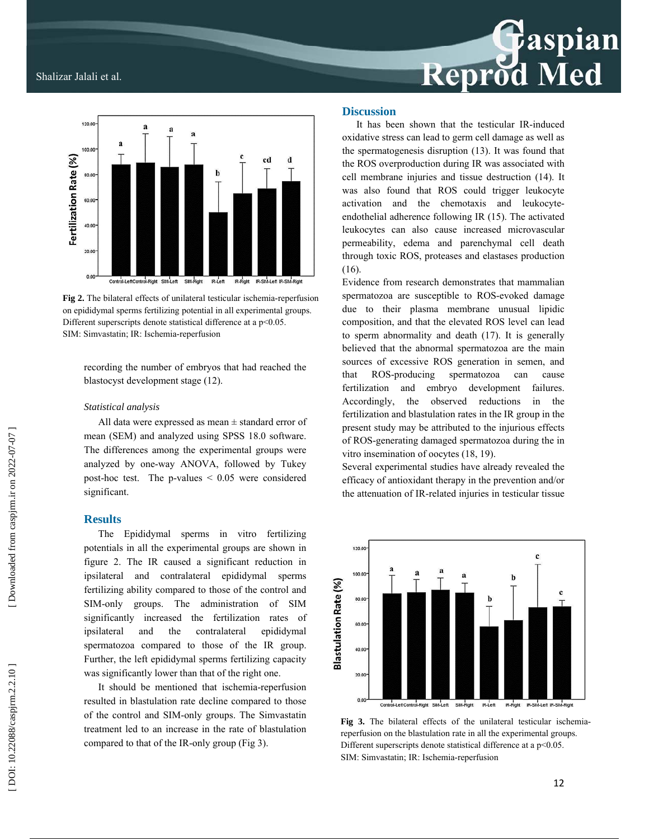# **F**aspian<br>d Med Reprod

## Shalizar Jalali et al.



**Fig 2.** The bilateral effects of unilateral testicular ischemia-reperfusion on epididymal sperms fertilizing potential in all experimental groups. Different superscripts denote statistical difference at a p<0.05. SIM: Simvastatin; IR: Ischemia-reperfusion

recording the number of embryos that had reached the blastocyst development stage (12).

### *Statistical analysis*

All data were expressed as mean ± standard error of mean (SEM) and analyzed using SPSS 18.0 software. The differences among the experimental groups were analyzed by one-way ANOVA, followed by Tukey post-hoc test. The p-values  $\leq 0.05$  were considered significant.

### **Results**

The Epididymal sperms in vitro fertilizing potentials in all the experimental groups are shown in figure 2. The IR caused a significant reduction in ipsilateral and contralateral epididymal sperms fertilizing ability compared to those of the control and SIM-only groups. The administration of SIM significantly increased the fertilization rates of ipsilateral and the contralateral epididymal spermatozoa compared to those of the IR group. Further, the left epididymal sperms fertilizing capacity was significantly lower than that of the right one.

It should be mentioned that ischemia-reperfusion resulted in blastulation rate decline compared to those of the control and SIM-only groups. The Simvastatin treatment led to an increase in the rate of blastulation compared to that of the IR-only group (Fig 3).

### **Discussion**

It has been shown that the testicular IR-induced oxidative stress can lead to germ cell damage as well as the spermatogenesis disruption (13). It was found that the ROS overproduction during IR was associated with cell membrane injuries and tissue destruction (14). It was also found that ROS could trigger leukocyte activation and the chemotaxis and leukocyteendothelial adherence following IR (15). The activated leukocytes can also cause increased microvascular permeability, edema and parenchymal cell death through toxic ROS, proteases and elastases production (16).

Evidence from research demonstrates that mammalian spermatozoa are susceptible to ROS-evoked damage due to their plasma membrane unusual lipidic composition, and that the elevated ROS level can lead to sperm abnormality and death (17). It is generally believed that the abnormal spermatozoa are the main sources of excessive ROS generation in semen, and that ROS-producing spermatozoa can cause fertilization and embryo development failures. Accordingly, the observed reductions in the fertilization and blastulation rates in the IR group in the present study may be attributed to the injurious effects of ROS-generating damaged spermatozoa during the in vitro insemination of oocytes (18, 19).

Several experimental studies have already revealed the efficacy of antioxidant therapy in the prevention and/or the attenuation of IR-related injuries in testicular tissue



**Fig 3.** The bilateral effects of the unilateral testicular ischemiareperfusion on the blastulation rate in all the experimental groups. Different superscripts denote statistical difference at a p<0.05. SIM: Simvastatin; IR: Ischemia-reperfusion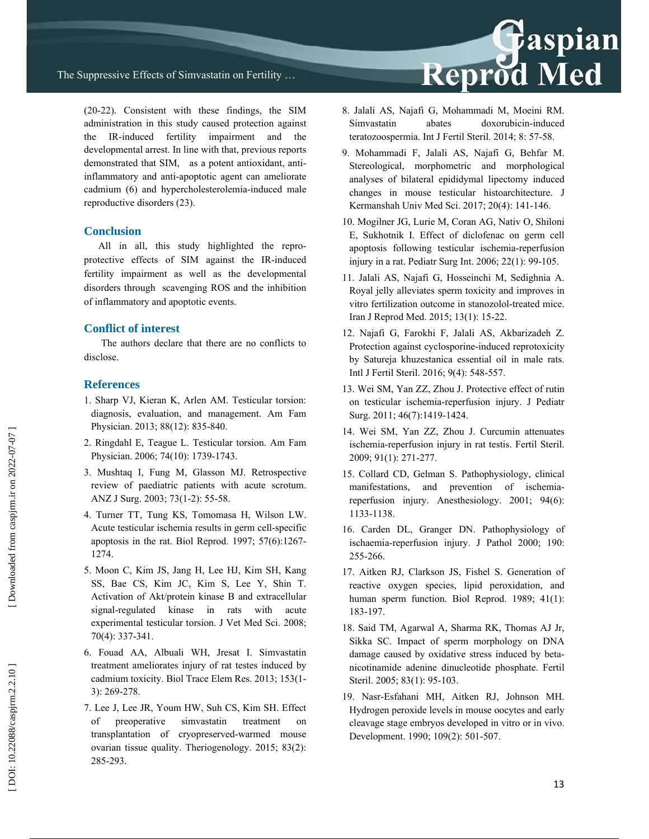

(20-22). Consistent with these findings, the SIM administration in this study caused protection against the IR-induced fertility impairment and the developmental arrest. In line with that, previous reports demonstrated that SIM, as a potent antioxidant, antiinflammatory and anti-apoptotic agent can ameliorate cadmium (6) and hypercholesterolemia-induced male reproductive disorders (23).

### **Conclusion**

All in all, this study highlighted the reproprotective effects of SIM against the IR-induced fertility impairment as well as the developmental disorders through scavenging ROS and the inhibition of inflammatory and apoptotic events.

### **Conflict of interest**

 The authors declare that there are no conflicts to disclose.

### **References**

- 1. Sharp VJ, Kieran K, Arlen AM. Testicular torsion: diagnosis, evaluation, and management. Am Fam Physician. 2013; 88(12): 835-840.
- 2. Ringdahl E, Teague L. Testicular torsion. Am Fam Physician. 2006; 74(10): 1739-1743.
- 3. Mushtaq I, Fung M, Glasson MJ. Retrospective review of paediatric patients with acute scrotum. ANZ J Surg. 2003; 73(1-2): 55-58.
- 4. Turner TT, Tung KS, Tomomasa H, Wilson LW. Acute testicular ischemia results in germ cell-specific apoptosis in the rat. Biol Reprod. 1997; 57(6):1267- 1274.
- 5. Moon C, Kim JS, Jang H, Lee HJ, Kim SH, Kang SS, Bae CS, Kim JC, Kim S, Lee Y, Shin T. Activation of Akt/protein kinase B and extracellular signal-regulated kinase in rats with acute experimental testicular torsion. J Vet Med Sci. 2008; 70(4): 337-341.
- 6. Fouad AA, Albuali WH, Jresat I. Simvastatin treatment ameliorates injury of rat testes induced by cadmium toxicity. Biol Trace Elem Res. 2013; 153(1- 3): 269-278.
- 7. Lee J, Lee JR, Youm HW, Suh CS, Kim SH. Effect of preoperative simvastatin treatment on transplantation of cryopreserved-warmed mouse ovarian tissue quality. Theriogenology. 2015; 83(2): 285-293.
- 8. Jalali AS, Najafi G, Mohammadi M, Moeini RM. Simvastatin abates doxorubicin-induced teratozoospermia. Int J Fertil Steril. 2014; 8: 57-58.
- 9. Mohammadi F, Jalali AS, Najafi G, Behfar M. Stereological, morphometric and morphological analyses of bilateral epididymal lipectomy induced changes in mouse testicular histoarchitecture. J Kermanshah Univ Med Sci. 2017; 20(4): 141-146.
- 10. Mogilner JG, Lurie M, Coran AG, Nativ O, Shiloni E, Sukhotnik I. Effect of diclofenac on germ cell apoptosis following testicular ischemia-reperfusion injury in a rat. Pediatr Surg Int. 2006; 22(1): 99-105.
- 11. Jalali AS, Najafi G, Hosseinchi M, Sedighnia A. Royal jelly alleviates sperm toxicity and improves in vitro fertilization outcome in stanozolol-treated mice. Iran J Reprod Med. 2015; 13(1): 15-22.
- 12. Najafi G, Farokhi F, Jalali AS, Akbarizadeh Z. Protection against cyclosporine-induced reprotoxicity by Satureja khuzestanica essential oil in male rats. Intl J Fertil Steril. 2016; 9(4): 548-557.
- 13. Wei SM, Yan ZZ, Zhou J. Protective effect of rutin on testicular ischemia-reperfusion injury. J Pediatr Surg. 2011; 46(7):1419-1424.
- 14. Wei SM, Yan ZZ, Zhou J. Curcumin attenuates ischemia-reperfusion injury in rat testis. Fertil Steril. 2009; 91(1): 271-277.
- 15. Collard CD, Gelman S. Pathophysiology, clinical manifestations, and prevention of ischemiareperfusion injury. Anesthesiology. 2001; 94(6): 1133-1138.
- 16. Carden DL, Granger DN. Pathophysiology of ischaemia-reperfusion injury. J Pathol 2000; 190: 255-266.
- 17. Aitken RJ, Clarkson JS, Fishel S. Generation of reactive oxygen species, lipid peroxidation, and human sperm function. Biol Reprod. 1989; 41(1): 183-197.
- 18. Said TM, Agarwal A, Sharma RK, Thomas AJ Jr, Sikka SC. Impact of sperm morphology on DNA damage caused by oxidative stress induced by betanicotinamide adenine dinucleotide phosphate. Fertil Steril. 2005; 83(1): 95-103.
- 19. Nasr-Esfahani MH, Aitken RJ, Johnson MH. Hydrogen peroxide levels in mouse oocytes and early cleavage stage embryos developed in vitro or in vivo. Development. 1990; 109(2): 501-507.